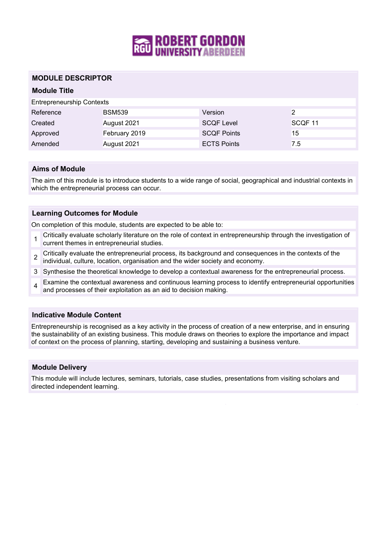

## **MODULE DESCRIPTOR**

# **Module Title**

Entrepreneurship Contexts

| Reference | <b>BSM539</b> | Version            |                    |
|-----------|---------------|--------------------|--------------------|
| Created   | August 2021   | <b>SCQF Level</b>  | SCOF <sub>11</sub> |
| Approved  | February 2019 | <b>SCOF Points</b> | 15                 |
| Amended   | August 2021   | <b>ECTS Points</b> | 7.5                |

### **Aims of Module**

The aim of this module is to introduce students to a wide range of social, geographical and industrial contexts in which the entrepreneurial process can occur.

### **Learning Outcomes for Module**

On completion of this module, students are expected to be able to:

- 1 Critically evaluate scholarly literature on the role of context in entrepreneurship through the investigation of current themes in entrepreneurial studies.
- 2 Critically evaluate the entrepreneurial process, its background and consequences in the contexts of the individual, culture, location, organisation and the wider society and economy.
- 3 Synthesise the theoretical knowledge to develop a contextual awareness for the entrepreneurial process.
- 4 Examine the contextual awareness and continuous learning process to identify entrepreneurial opportunities and processes of their exploitation as an aid to decision making.

#### **Indicative Module Content**

Entrepreneurship is recognised as a key activity in the process of creation of a new enterprise, and in ensuring the sustainability of an existing business. This module draws on theories to explore the importance and impact of context on the process of planning, starting, developing and sustaining a business venture.

#### **Module Delivery**

This module will include lectures, seminars, tutorials, case studies, presentations from visiting scholars and directed independent learning.